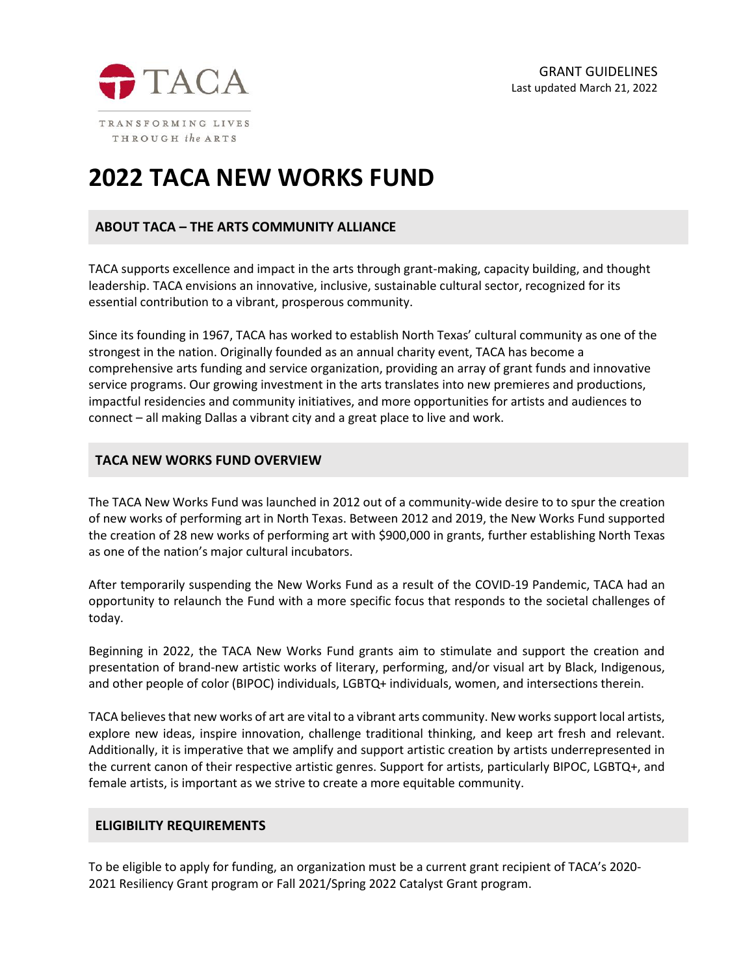

# **2022 TACA NEW WORKS FUND**

# **ABOUT TACA – THE ARTS COMMUNITY ALLIANCE**

TACA supports excellence and impact in the arts through grant-making, capacity building, and thought leadership. TACA envisions an innovative, inclusive, sustainable cultural sector, recognized for its essential contribution to a vibrant, prosperous community.

Since its founding in 1967, TACA has worked to establish North Texas' cultural community as one of the strongest in the nation. Originally founded as an annual charity event, TACA has become a comprehensive arts funding and service organization, providing an array of grant funds and innovative service programs. Our growing investment in the arts translates into new premieres and productions, impactful residencies and community initiatives, and more opportunities for artists and audiences to connect – all making Dallas a vibrant city and a great place to live and work.

## **TACA NEW WORKS FUND OVERVIEW**

The TACA New Works Fund was launched in 2012 out of a community-wide desire to to spur the creation of new works of performing art in North Texas. Between 2012 and 2019, the New Works Fund supported the creation of 28 new works of performing art with \$900,000 in grants, further establishing North Texas as one of the nation's major cultural incubators.

After temporarily suspending the New Works Fund as a result of the COVID-19 Pandemic, TACA had an opportunity to relaunch the Fund with a more specific focus that responds to the societal challenges of today.

Beginning in 2022, the TACA New Works Fund grants aim to stimulate and support the creation and presentation of brand-new artistic works of literary, performing, and/or visual art by Black, Indigenous, and other people of color (BIPOC) individuals, LGBTQ+ individuals, women, and intersections therein.

TACA believes that new works of art are vital to a vibrant arts community. New works support local artists, explore new ideas, inspire innovation, challenge traditional thinking, and keep art fresh and relevant. Additionally, it is imperative that we amplify and support artistic creation by artists underrepresented in the current canon of their respective artistic genres. Support for artists, particularly BIPOC, LGBTQ+, and female artists, is important as we strive to create a more equitable community.

# **ELIGIBILITY REQUIREMENTS**

To be eligible to apply for funding, an organization must be a current grant recipient of TACA's 2020- 2021 Resiliency Grant program or Fall 2021/Spring 2022 Catalyst Grant program.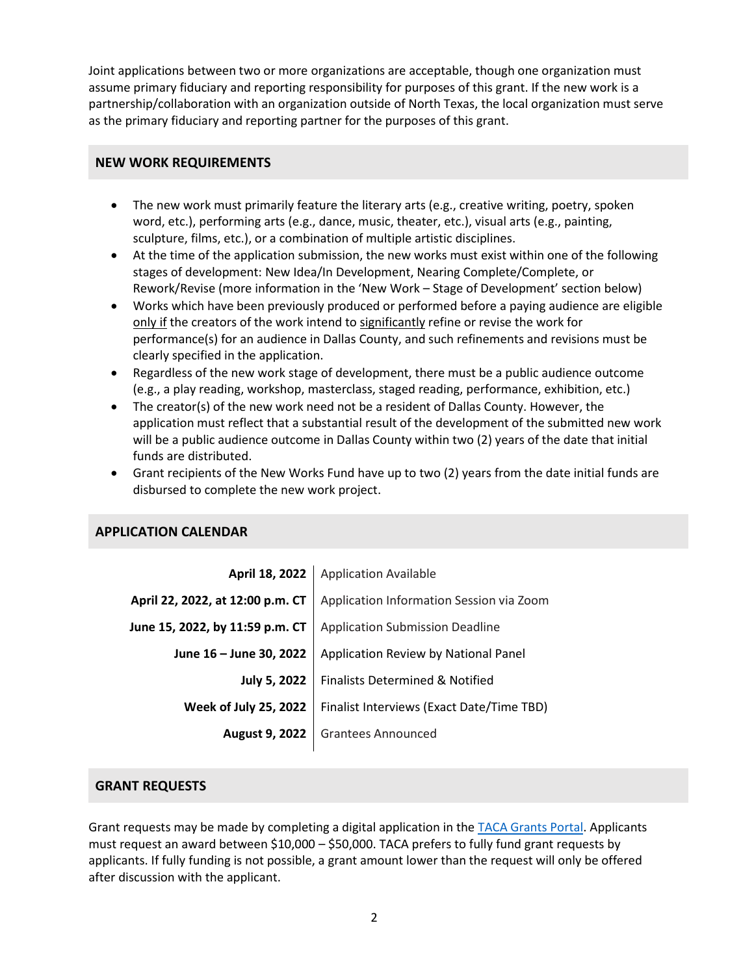Joint applications between two or more organizations are acceptable, though one organization must assume primary fiduciary and reporting responsibility for purposes of this grant. If the new work is a partnership/collaboration with an organization outside of North Texas, the local organization must serve as the primary fiduciary and reporting partner for the purposes of this grant.

## **NEW WORK REQUIREMENTS**

- The new work must primarily feature the literary arts (e.g., creative writing, poetry, spoken word, etc.), performing arts (e.g., dance, music, theater, etc.), visual arts (e.g., painting, sculpture, films, etc.), or a combination of multiple artistic disciplines.
- At the time of the application submission, the new works must exist within one of the following stages of development: New Idea/In Development, Nearing Complete/Complete, or Rework/Revise (more information in the 'New Work – Stage of Development' section below)
- Works which have been previously produced or performed before a paying audience are eligible only if the creators of the work intend to significantly refine or revise the work for performance(s) for an audience in Dallas County, and such refinements and revisions must be clearly specified in the application.
- Regardless of the new work stage of development, there must be a public audience outcome (e.g., a play reading, workshop, masterclass, staged reading, performance, exhibition, etc.)
- The creator(s) of the new work need not be a resident of Dallas County. However, the application must reflect that a substantial result of the development of the submitted new work will be a public audience outcome in Dallas County within two (2) years of the date that initial funds are distributed.
- Grant recipients of the New Works Fund have up to two (2) years from the date initial funds are disbursed to complete the new work project.

# **APPLICATION CALENDAR**

|                                                                              | April 18, 2022   Application Available    |
|------------------------------------------------------------------------------|-------------------------------------------|
| Application Information Session via Zoom<br>April 22, 2022, at 12:00 p.m. CT |                                           |
| June 15, 2022, by 11:59 p.m. CT                                              | <b>Application Submission Deadline</b>    |
| June 16 - June 30, 2022                                                      | Application Review by National Panel      |
| <b>July 5, 2022</b>                                                          | Finalists Determined & Notified           |
| <b>Week of July 25, 2022</b>                                                 | Finalist Interviews (Exact Date/Time TBD) |
| <b>August 9, 2022</b>                                                        | <b>Grantees Announced</b>                 |
|                                                                              |                                           |

# **GRANT REQUESTS**

Grant requests may be made by completing a digital application in the [TACA Grants Portal.](https://taca.smapply.io/) Applicants must request an award between \$10,000 – \$50,000. TACA prefers to fully fund grant requests by applicants. If fully funding is not possible, a grant amount lower than the request will only be offered after discussion with the applicant.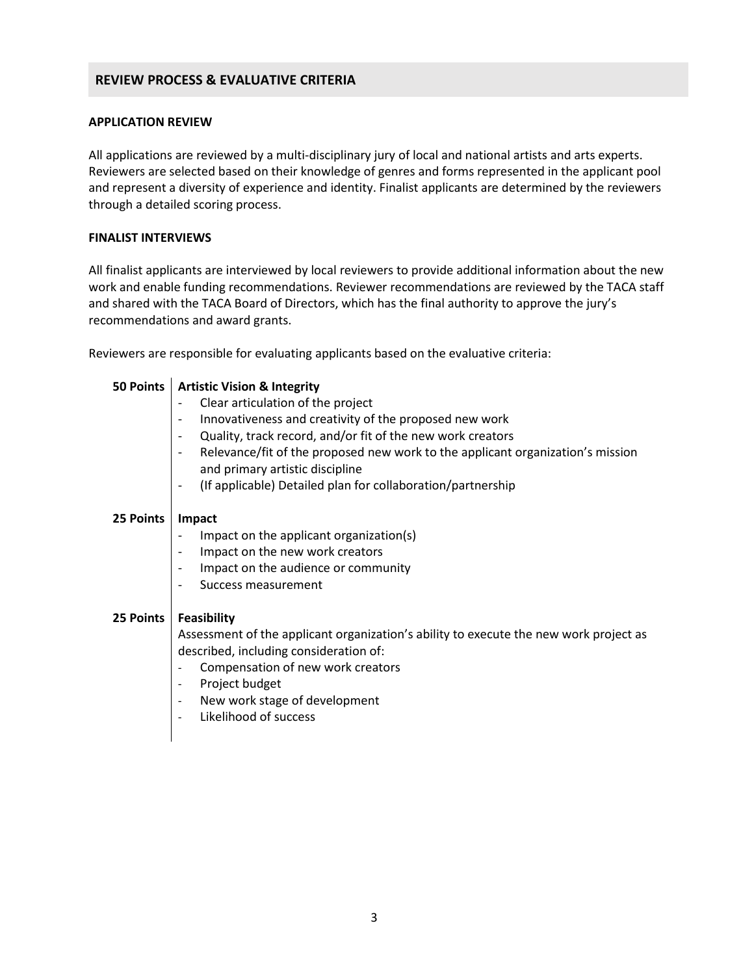# **REVIEW PROCESS & EVALUATIVE CRITERIA**

#### **APPLICATION REVIEW**

All applications are reviewed by a multi-disciplinary jury of local and national artists and arts experts. Reviewers are selected based on their knowledge of genres and forms represented in the applicant pool and represent a diversity of experience and identity. Finalist applicants are determined by the reviewers through a detailed scoring process.

#### **FINALIST INTERVIEWS**

All finalist applicants are interviewed by local reviewers to provide additional information about the new work and enable funding recommendations. Reviewer recommendations are reviewed by the TACA staff and shared with the TACA Board of Directors, which has the final authority to approve the jury's recommendations and award grants.

Reviewers are responsible for evaluating applicants based on the evaluative criteria:

| 50 Points | <b>Artistic Vision &amp; Integrity</b>                                                                            |  |  |
|-----------|-------------------------------------------------------------------------------------------------------------------|--|--|
|           | Clear articulation of the project                                                                                 |  |  |
|           | Innovativeness and creativity of the proposed new work                                                            |  |  |
|           | Quality, track record, and/or fit of the new work creators<br>$\overline{\phantom{a}}$                            |  |  |
|           | Relevance/fit of the proposed new work to the applicant organization's mission<br>and primary artistic discipline |  |  |
|           | (If applicable) Detailed plan for collaboration/partnership<br>$\overline{\phantom{a}}$                           |  |  |
|           |                                                                                                                   |  |  |
|           |                                                                                                                   |  |  |
| 25 Points | Impact                                                                                                            |  |  |
|           | Impact on the applicant organization(s)                                                                           |  |  |
|           | Impact on the new work creators                                                                                   |  |  |
|           | Impact on the audience or community                                                                               |  |  |
|           | Success measurement                                                                                               |  |  |
| 25 Points | Feasibility                                                                                                       |  |  |
|           | Assessment of the applicant organization's ability to execute the new work project as                             |  |  |
|           | described, including consideration of:                                                                            |  |  |
|           | Compensation of new work creators                                                                                 |  |  |
|           | Project budget                                                                                                    |  |  |
|           |                                                                                                                   |  |  |
|           | New work stage of development<br>$\overline{\phantom{a}}$                                                         |  |  |
|           | Likelihood of success                                                                                             |  |  |
|           |                                                                                                                   |  |  |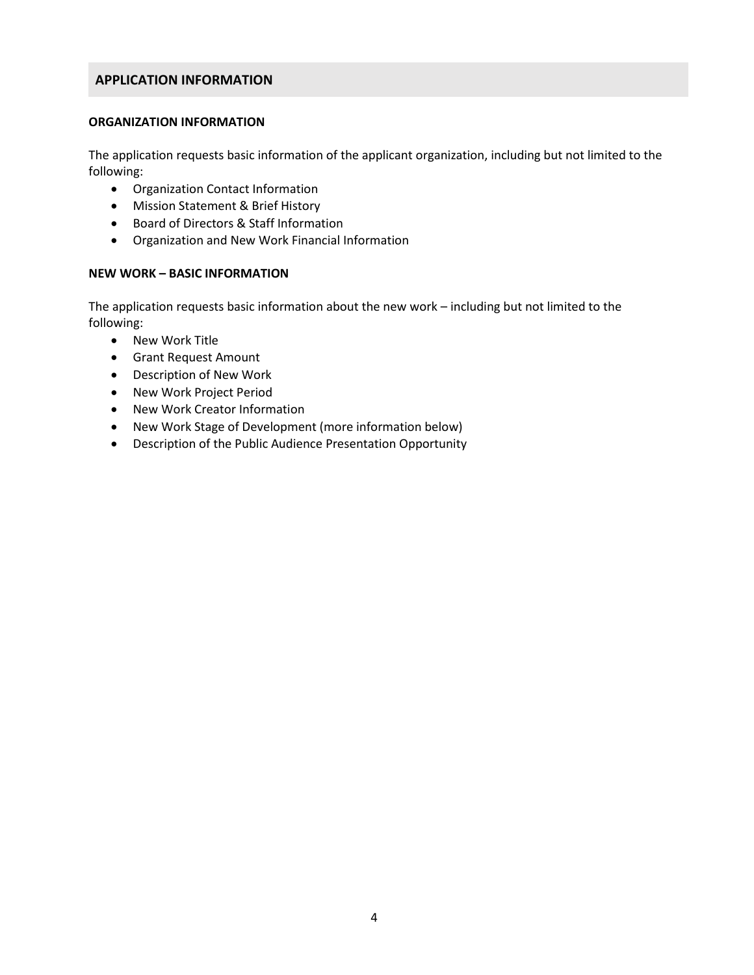## **APPLICATION INFORMATION**

## **ORGANIZATION INFORMATION**

The application requests basic information of the applicant organization, including but not limited to the following:

- Organization Contact Information
- Mission Statement & Brief History
- Board of Directors & Staff Information
- Organization and New Work Financial Information

#### **NEW WORK – BASIC INFORMATION**

The application requests basic information about the new work – including but not limited to the following:

- New Work Title
- Grant Request Amount
- Description of New Work
- New Work Project Period
- New Work Creator Information
- New Work Stage of Development (more information below)
- Description of the Public Audience Presentation Opportunity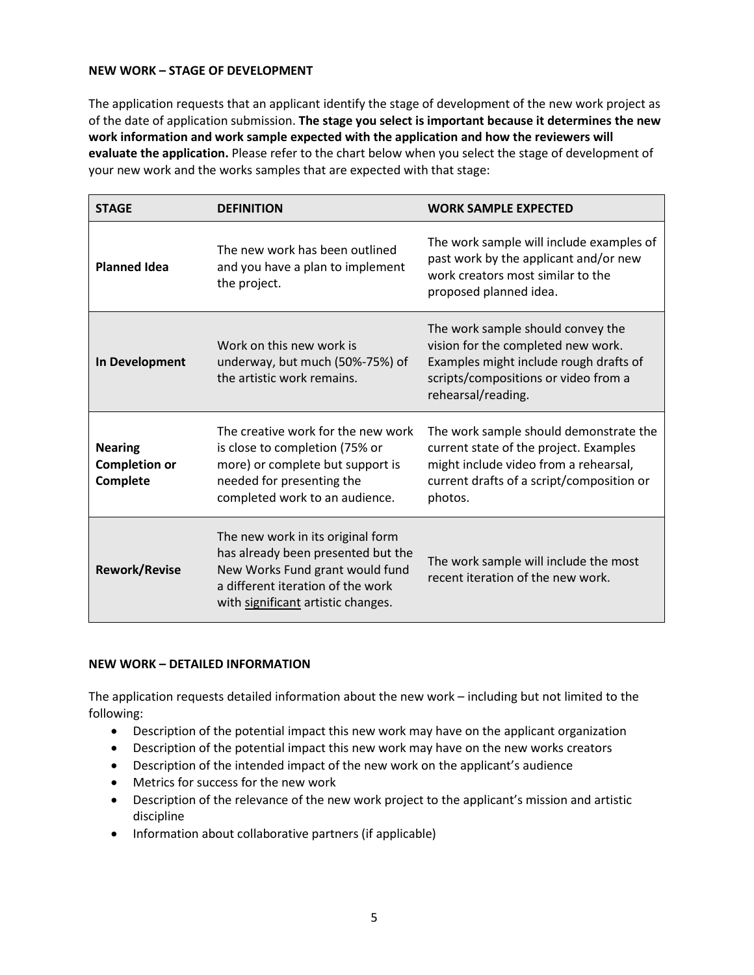## **NEW WORK – STAGE OF DEVELOPMENT**

The application requests that an applicant identify the stage of development of the new work project as of the date of application submission. **The stage you select is important because it determines the new work information and work sample expected with the application and how the reviewers will evaluate the application.** Please refer to the chart below when you select the stage of development of your new work and the works samples that are expected with that stage:

| <b>STAGE</b>                                       | <b>DEFINITION</b>                                                                                                                                                                     | <b>WORK SAMPLE EXPECTED</b>                                                                                                                                                       |
|----------------------------------------------------|---------------------------------------------------------------------------------------------------------------------------------------------------------------------------------------|-----------------------------------------------------------------------------------------------------------------------------------------------------------------------------------|
| <b>Planned Idea</b>                                | The new work has been outlined<br>and you have a plan to implement<br>the project.                                                                                                    | The work sample will include examples of<br>past work by the applicant and/or new<br>work creators most similar to the<br>proposed planned idea.                                  |
| In Development                                     | Work on this new work is<br>underway, but much (50%-75%) of<br>the artistic work remains.                                                                                             | The work sample should convey the<br>vision for the completed new work.<br>Examples might include rough drafts of<br>scripts/compositions or video from a<br>rehearsal/reading.   |
| <b>Nearing</b><br><b>Completion or</b><br>Complete | The creative work for the new work<br>is close to completion (75% or<br>more) or complete but support is<br>needed for presenting the<br>completed work to an audience.               | The work sample should demonstrate the<br>current state of the project. Examples<br>might include video from a rehearsal,<br>current drafts of a script/composition or<br>photos. |
| <b>Rework/Revise</b>                               | The new work in its original form<br>has already been presented but the<br>New Works Fund grant would fund<br>a different iteration of the work<br>with significant artistic changes. | The work sample will include the most<br>recent iteration of the new work.                                                                                                        |

## **NEW WORK – DETAILED INFORMATION**

The application requests detailed information about the new work – including but not limited to the following:

- Description of the potential impact this new work may have on the applicant organization
- Description of the potential impact this new work may have on the new works creators
- Description of the intended impact of the new work on the applicant's audience
- Metrics for success for the new work
- Description of the relevance of the new work project to the applicant's mission and artistic discipline
- Information about collaborative partners (if applicable)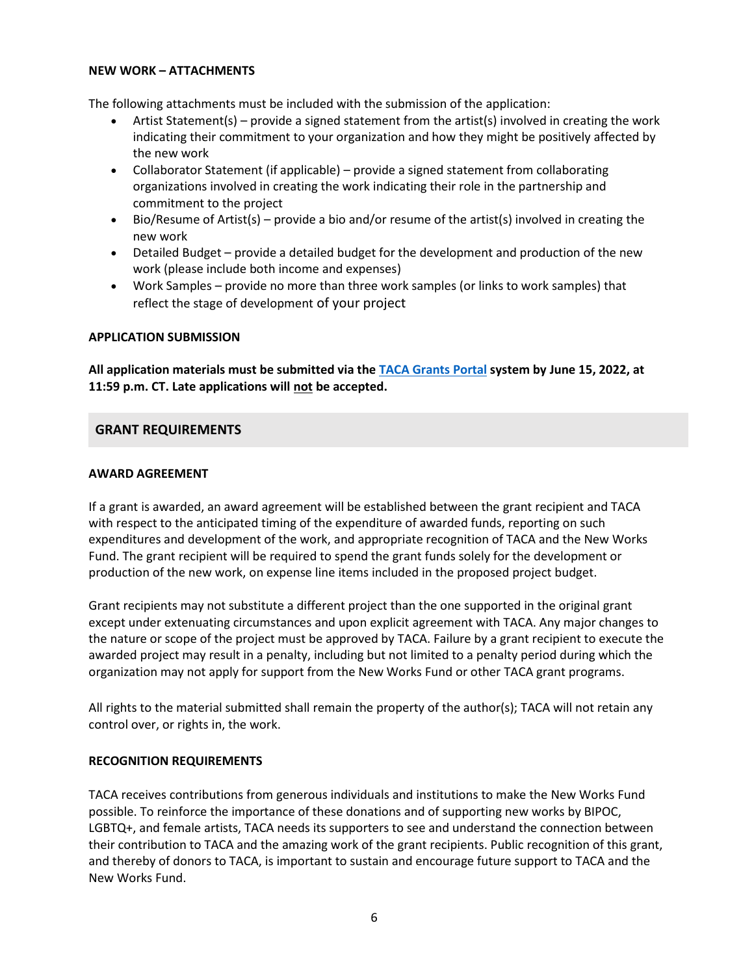#### **NEW WORK – ATTACHMENTS**

The following attachments must be included with the submission of the application:

- Artist Statement(s) provide a signed statement from the artist(s) involved in creating the work indicating their commitment to your organization and how they might be positively affected by the new work
- Collaborator Statement (if applicable) provide a signed statement from collaborating organizations involved in creating the work indicating their role in the partnership and commitment to the project
- Bio/Resume of Artist(s) provide a bio and/or resume of the artist(s) involved in creating the new work
- Detailed Budget provide a detailed budget for the development and production of the new work (please include both income and expenses)
- Work Samples provide no more than three work samples (or links to work samples) that reflect the stage of development of your project

#### **APPLICATION SUBMISSION**

**All application materials must be submitted via the [TACA Grants Portal](https://taca.smapply.io/) system by June 15, 2022, at 11:59 p.m. CT. Late applications will not be accepted.** 

## **GRANT REQUIREMENTS**

#### **AWARD AGREEMENT**

If a grant is awarded, an award agreement will be established between the grant recipient and TACA with respect to the anticipated timing of the expenditure of awarded funds, reporting on such expenditures and development of the work, and appropriate recognition of TACA and the New Works Fund. The grant recipient will be required to spend the grant funds solely for the development or production of the new work, on expense line items included in the proposed project budget.

Grant recipients may not substitute a different project than the one supported in the original grant except under extenuating circumstances and upon explicit agreement with TACA. Any major changes to the nature or scope of the project must be approved by TACA. Failure by a grant recipient to execute the awarded project may result in a penalty, including but not limited to a penalty period during which the organization may not apply for support from the New Works Fund or other TACA grant programs.

All rights to the material submitted shall remain the property of the author(s); TACA will not retain any control over, or rights in, the work.

## **RECOGNITION REQUIREMENTS**

TACA receives contributions from generous individuals and institutions to make the New Works Fund possible. To reinforce the importance of these donations and of supporting new works by BIPOC, LGBTQ+, and female artists, TACA needs its supporters to see and understand the connection between their contribution to TACA and the amazing work of the grant recipients. Public recognition of this grant, and thereby of donors to TACA, is important to sustain and encourage future support to TACA and the New Works Fund.